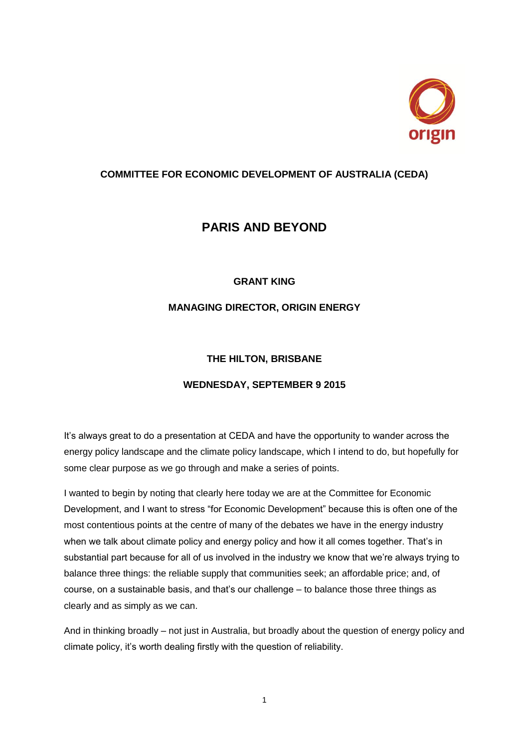

## **COMMITTEE FOR ECONOMIC DEVELOPMENT OF AUSTRALIA (CEDA)**

# **PARIS AND BEYOND**

## **GRANT KING**

## **MANAGING DIRECTOR, ORIGIN ENERGY**

## **THE HILTON, BRISBANE**

## **WEDNESDAY, SEPTEMBER 9 2015**

It's always great to do a presentation at CEDA and have the opportunity to wander across the energy policy landscape and the climate policy landscape, which I intend to do, but hopefully for some clear purpose as we go through and make a series of points.

I wanted to begin by noting that clearly here today we are at the Committee for Economic Development, and I want to stress "for Economic Development" because this is often one of the most contentious points at the centre of many of the debates we have in the energy industry when we talk about climate policy and energy policy and how it all comes together. That's in substantial part because for all of us involved in the industry we know that we're always trying to balance three things: the reliable supply that communities seek; an affordable price; and, of course, on a sustainable basis, and that's our challenge – to balance those three things as clearly and as simply as we can.

And in thinking broadly – not just in Australia, but broadly about the question of energy policy and climate policy, it's worth dealing firstly with the question of reliability.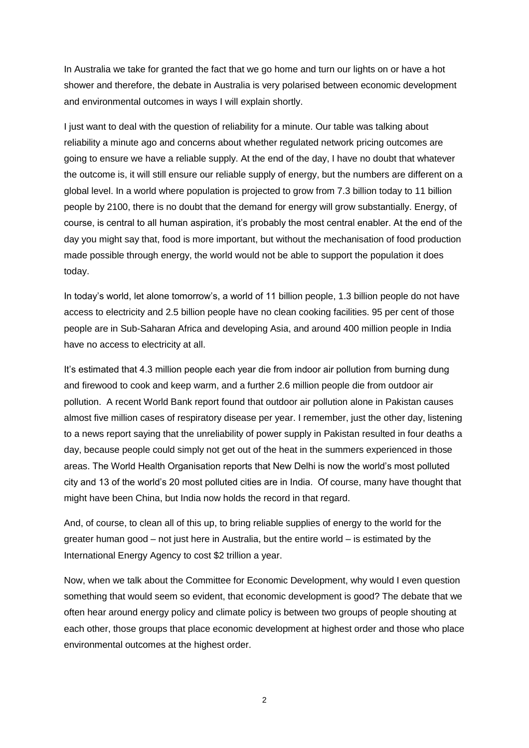In Australia we take for granted the fact that we go home and turn our lights on or have a hot shower and therefore, the debate in Australia is very polarised between economic development and environmental outcomes in ways I will explain shortly.

I just want to deal with the question of reliability for a minute. Our table was talking about reliability a minute ago and concerns about whether regulated network pricing outcomes are going to ensure we have a reliable supply. At the end of the day, I have no doubt that whatever the outcome is, it will still ensure our reliable supply of energy, but the numbers are different on a global level. In a world where population is projected to grow from 7.3 billion today to 11 billion people by 2100, there is no doubt that the demand for energy will grow substantially. Energy, of course, is central to all human aspiration, it's probably the most central enabler. At the end of the day you might say that, food is more important, but without the mechanisation of food production made possible through energy, the world would not be able to support the population it does today.

In today's world, let alone tomorrow's, a world of 11 billion people, 1.3 billion people do not have access to electricity and 2.5 billion people have no clean cooking facilities. 95 per cent of those people are in Sub-Saharan Africa and developing Asia, and around 400 million people in India have no access to electricity at all.

It's estimated that 4.3 million people each year die from indoor air pollution from burning dung and firewood to cook and keep warm, and a further 2.6 million people die from outdoor air pollution. A recent World Bank report found that outdoor air pollution alone in Pakistan causes almost five million cases of respiratory disease per year. I remember, just the other day, listening to a news report saying that the unreliability of power supply in Pakistan resulted in four deaths a day, because people could simply not get out of the heat in the summers experienced in those areas. The World Health Organisation reports that New Delhi is now the world's most polluted city and 13 of the world's 20 most polluted cities are in India. Of course, many have thought that might have been China, but India now holds the record in that regard.

And, of course, to clean all of this up, to bring reliable supplies of energy to the world for the greater human good – not just here in Australia, but the entire world – is estimated by the International Energy Agency to cost \$2 trillion a year.

Now, when we talk about the Committee for Economic Development, why would I even question something that would seem so evident, that economic development is good? The debate that we often hear around energy policy and climate policy is between two groups of people shouting at each other, those groups that place economic development at highest order and those who place environmental outcomes at the highest order.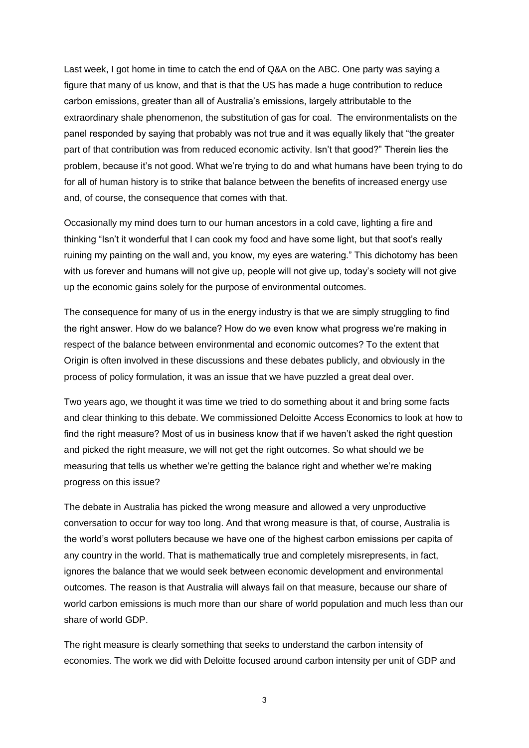Last week, I got home in time to catch the end of Q&A on the ABC. One party was saying a figure that many of us know, and that is that the US has made a huge contribution to reduce carbon emissions, greater than all of Australia's emissions, largely attributable to the extraordinary shale phenomenon, the substitution of gas for coal. The environmentalists on the panel responded by saying that probably was not true and it was equally likely that "the greater part of that contribution was from reduced economic activity. Isn't that good?" Therein lies the problem, because it's not good. What we're trying to do and what humans have been trying to do for all of human history is to strike that balance between the benefits of increased energy use and, of course, the consequence that comes with that.

Occasionally my mind does turn to our human ancestors in a cold cave, lighting a fire and thinking "Isn't it wonderful that I can cook my food and have some light, but that soot's really ruining my painting on the wall and, you know, my eyes are watering." This dichotomy has been with us forever and humans will not give up, people will not give up, today's society will not give up the economic gains solely for the purpose of environmental outcomes.

The consequence for many of us in the energy industry is that we are simply struggling to find the right answer. How do we balance? How do we even know what progress we're making in respect of the balance between environmental and economic outcomes? To the extent that Origin is often involved in these discussions and these debates publicly, and obviously in the process of policy formulation, it was an issue that we have puzzled a great deal over.

Two years ago, we thought it was time we tried to do something about it and bring some facts and clear thinking to this debate. We commissioned Deloitte Access Economics to look at how to find the right measure? Most of us in business know that if we haven't asked the right question and picked the right measure, we will not get the right outcomes. So what should we be measuring that tells us whether we're getting the balance right and whether we're making progress on this issue?

The debate in Australia has picked the wrong measure and allowed a very unproductive conversation to occur for way too long. And that wrong measure is that, of course, Australia is the world's worst polluters because we have one of the highest carbon emissions per capita of any country in the world. That is mathematically true and completely misrepresents, in fact, ignores the balance that we would seek between economic development and environmental outcomes. The reason is that Australia will always fail on that measure, because our share of world carbon emissions is much more than our share of world population and much less than our share of world GDP.

The right measure is clearly something that seeks to understand the carbon intensity of economies. The work we did with Deloitte focused around carbon intensity per unit of GDP and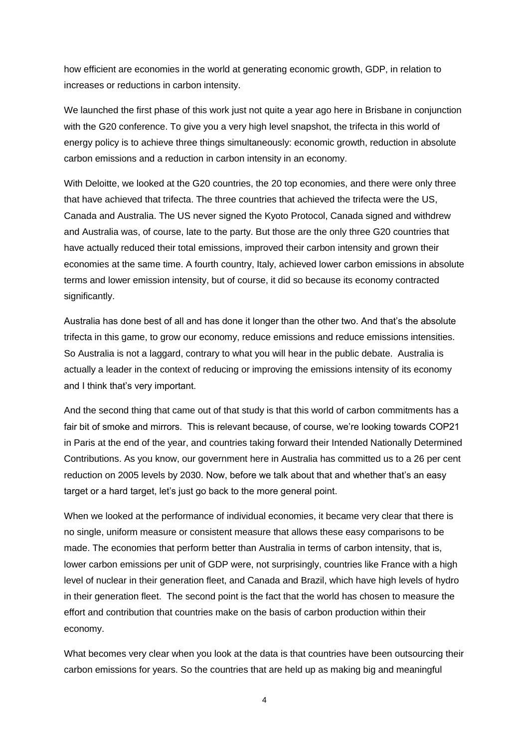how efficient are economies in the world at generating economic growth, GDP, in relation to increases or reductions in carbon intensity.

We launched the first phase of this work just not quite a year ago here in Brisbane in conjunction with the G20 conference. To give you a very high level snapshot, the trifecta in this world of energy policy is to achieve three things simultaneously: economic growth, reduction in absolute carbon emissions and a reduction in carbon intensity in an economy.

With Deloitte, we looked at the G20 countries, the 20 top economies, and there were only three that have achieved that trifecta. The three countries that achieved the trifecta were the US, Canada and Australia. The US never signed the Kyoto Protocol, Canada signed and withdrew and Australia was, of course, late to the party. But those are the only three G20 countries that have actually reduced their total emissions, improved their carbon intensity and grown their economies at the same time. A fourth country, Italy, achieved lower carbon emissions in absolute terms and lower emission intensity, but of course, it did so because its economy contracted significantly.

Australia has done best of all and has done it longer than the other two. And that's the absolute trifecta in this game, to grow our economy, reduce emissions and reduce emissions intensities. So Australia is not a laggard, contrary to what you will hear in the public debate. Australia is actually a leader in the context of reducing or improving the emissions intensity of its economy and I think that's very important.

And the second thing that came out of that study is that this world of carbon commitments has a fair bit of smoke and mirrors. This is relevant because, of course, we're looking towards COP21 in Paris at the end of the year, and countries taking forward their Intended Nationally Determined Contributions. As you know, our government here in Australia has committed us to a 26 per cent reduction on 2005 levels by 2030. Now, before we talk about that and whether that's an easy target or a hard target, let's just go back to the more general point.

When we looked at the performance of individual economies, it became very clear that there is no single, uniform measure or consistent measure that allows these easy comparisons to be made. The economies that perform better than Australia in terms of carbon intensity, that is, lower carbon emissions per unit of GDP were, not surprisingly, countries like France with a high level of nuclear in their generation fleet, and Canada and Brazil, which have high levels of hydro in their generation fleet. The second point is the fact that the world has chosen to measure the effort and contribution that countries make on the basis of carbon production within their economy.

What becomes very clear when you look at the data is that countries have been outsourcing their carbon emissions for years. So the countries that are held up as making big and meaningful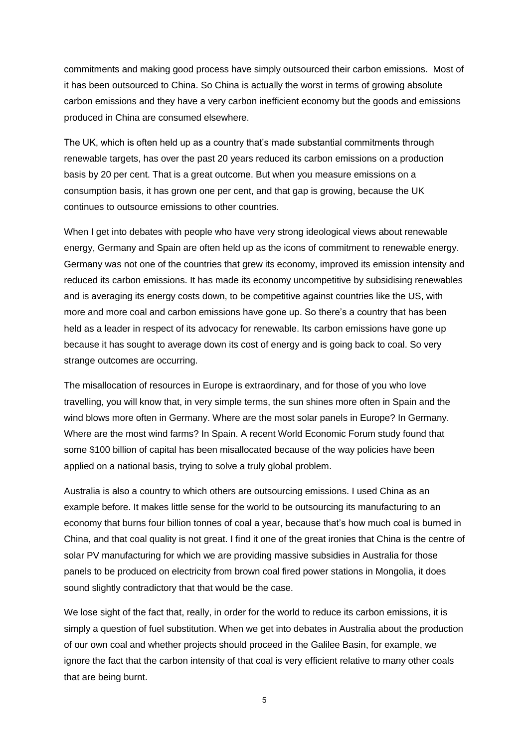commitments and making good process have simply outsourced their carbon emissions. Most of it has been outsourced to China. So China is actually the worst in terms of growing absolute carbon emissions and they have a very carbon inefficient economy but the goods and emissions produced in China are consumed elsewhere.

The UK, which is often held up as a country that's made substantial commitments through renewable targets, has over the past 20 years reduced its carbon emissions on a production basis by 20 per cent. That is a great outcome. But when you measure emissions on a consumption basis, it has grown one per cent, and that gap is growing, because the UK continues to outsource emissions to other countries.

When I get into debates with people who have very strong ideological views about renewable energy, Germany and Spain are often held up as the icons of commitment to renewable energy. Germany was not one of the countries that grew its economy, improved its emission intensity and reduced its carbon emissions. It has made its economy uncompetitive by subsidising renewables and is averaging its energy costs down, to be competitive against countries like the US, with more and more coal and carbon emissions have gone up. So there's a country that has been held as a leader in respect of its advocacy for renewable. Its carbon emissions have gone up because it has sought to average down its cost of energy and is going back to coal. So very strange outcomes are occurring.

The misallocation of resources in Europe is extraordinary, and for those of you who love travelling, you will know that, in very simple terms, the sun shines more often in Spain and the wind blows more often in Germany. Where are the most solar panels in Europe? In Germany. Where are the most wind farms? In Spain. A recent World Economic Forum study found that some \$100 billion of capital has been misallocated because of the way policies have been applied on a national basis, trying to solve a truly global problem.

Australia is also a country to which others are outsourcing emissions. I used China as an example before. It makes little sense for the world to be outsourcing its manufacturing to an economy that burns four billion tonnes of coal a year, because that's how much coal is burned in China, and that coal quality is not great. I find it one of the great ironies that China is the centre of solar PV manufacturing for which we are providing massive subsidies in Australia for those panels to be produced on electricity from brown coal fired power stations in Mongolia, it does sound slightly contradictory that that would be the case.

We lose sight of the fact that, really, in order for the world to reduce its carbon emissions, it is simply a question of fuel substitution. When we get into debates in Australia about the production of our own coal and whether projects should proceed in the Galilee Basin, for example, we ignore the fact that the carbon intensity of that coal is very efficient relative to many other coals that are being burnt.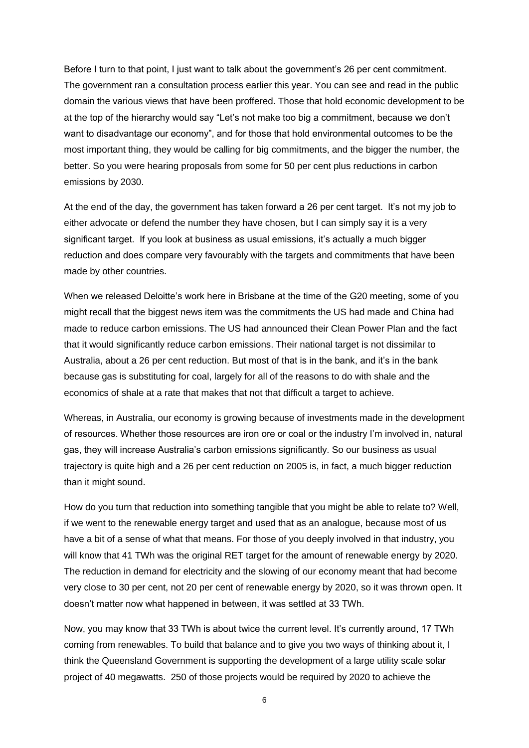Before I turn to that point, I just want to talk about the government's 26 per cent commitment. The government ran a consultation process earlier this year. You can see and read in the public domain the various views that have been proffered. Those that hold economic development to be at the top of the hierarchy would say "Let's not make too big a commitment, because we don't want to disadvantage our economy", and for those that hold environmental outcomes to be the most important thing, they would be calling for big commitments, and the bigger the number, the better. So you were hearing proposals from some for 50 per cent plus reductions in carbon emissions by 2030.

At the end of the day, the government has taken forward a 26 per cent target. It's not my job to either advocate or defend the number they have chosen, but I can simply say it is a very significant target. If you look at business as usual emissions, it's actually a much bigger reduction and does compare very favourably with the targets and commitments that have been made by other countries.

When we released Deloitte's work here in Brisbane at the time of the G20 meeting, some of you might recall that the biggest news item was the commitments the US had made and China had made to reduce carbon emissions. The US had announced their Clean Power Plan and the fact that it would significantly reduce carbon emissions. Their national target is not dissimilar to Australia, about a 26 per cent reduction. But most of that is in the bank, and it's in the bank because gas is substituting for coal, largely for all of the reasons to do with shale and the economics of shale at a rate that makes that not that difficult a target to achieve.

Whereas, in Australia, our economy is growing because of investments made in the development of resources. Whether those resources are iron ore or coal or the industry I'm involved in, natural gas, they will increase Australia's carbon emissions significantly. So our business as usual trajectory is quite high and a 26 per cent reduction on 2005 is, in fact, a much bigger reduction than it might sound.

How do you turn that reduction into something tangible that you might be able to relate to? Well, if we went to the renewable energy target and used that as an analogue, because most of us have a bit of a sense of what that means. For those of you deeply involved in that industry, you will know that 41 TWh was the original RET target for the amount of renewable energy by 2020. The reduction in demand for electricity and the slowing of our economy meant that had become very close to 30 per cent, not 20 per cent of renewable energy by 2020, so it was thrown open. It doesn't matter now what happened in between, it was settled at 33 TWh.

Now, you may know that 33 TWh is about twice the current level. It's currently around, 17 TWh coming from renewables. To build that balance and to give you two ways of thinking about it, I think the Queensland Government is supporting the development of a large utility scale solar project of 40 megawatts. 250 of those projects would be required by 2020 to achieve the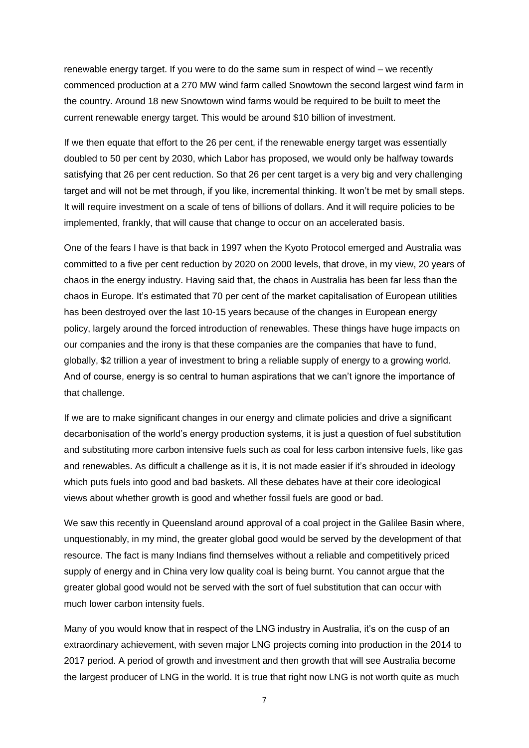renewable energy target. If you were to do the same sum in respect of wind – we recently commenced production at a 270 MW wind farm called Snowtown the second largest wind farm in the country. Around 18 new Snowtown wind farms would be required to be built to meet the current renewable energy target. This would be around \$10 billion of investment.

If we then equate that effort to the 26 per cent, if the renewable energy target was essentially doubled to 50 per cent by 2030, which Labor has proposed, we would only be halfway towards satisfying that 26 per cent reduction. So that 26 per cent target is a very big and very challenging target and will not be met through, if you like, incremental thinking. It won't be met by small steps. It will require investment on a scale of tens of billions of dollars. And it will require policies to be implemented, frankly, that will cause that change to occur on an accelerated basis.

One of the fears I have is that back in 1997 when the Kyoto Protocol emerged and Australia was committed to a five per cent reduction by 2020 on 2000 levels, that drove, in my view, 20 years of chaos in the energy industry. Having said that, the chaos in Australia has been far less than the chaos in Europe. It's estimated that 70 per cent of the market capitalisation of European utilities has been destroyed over the last 10-15 years because of the changes in European energy policy, largely around the forced introduction of renewables. These things have huge impacts on our companies and the irony is that these companies are the companies that have to fund, globally, \$2 trillion a year of investment to bring a reliable supply of energy to a growing world. And of course, energy is so central to human aspirations that we can't ignore the importance of that challenge.

If we are to make significant changes in our energy and climate policies and drive a significant decarbonisation of the world's energy production systems, it is just a question of fuel substitution and substituting more carbon intensive fuels such as coal for less carbon intensive fuels, like gas and renewables. As difficult a challenge as it is, it is not made easier if it's shrouded in ideology which puts fuels into good and bad baskets. All these debates have at their core ideological views about whether growth is good and whether fossil fuels are good or bad.

We saw this recently in Queensland around approval of a coal project in the Galilee Basin where, unquestionably, in my mind, the greater global good would be served by the development of that resource. The fact is many Indians find themselves without a reliable and competitively priced supply of energy and in China very low quality coal is being burnt. You cannot argue that the greater global good would not be served with the sort of fuel substitution that can occur with much lower carbon intensity fuels.

Many of you would know that in respect of the LNG industry in Australia, it's on the cusp of an extraordinary achievement, with seven major LNG projects coming into production in the 2014 to 2017 period. A period of growth and investment and then growth that will see Australia become the largest producer of LNG in the world. It is true that right now LNG is not worth quite as much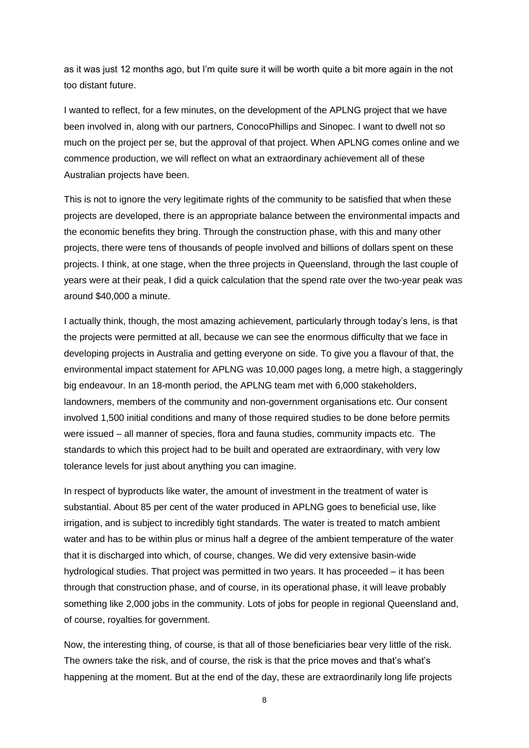as it was just 12 months ago, but I'm quite sure it will be worth quite a bit more again in the not too distant future.

I wanted to reflect, for a few minutes, on the development of the APLNG project that we have been involved in, along with our partners, ConocoPhillips and Sinopec. I want to dwell not so much on the project per se, but the approval of that project. When APLNG comes online and we commence production, we will reflect on what an extraordinary achievement all of these Australian projects have been.

This is not to ignore the very legitimate rights of the community to be satisfied that when these projects are developed, there is an appropriate balance between the environmental impacts and the economic benefits they bring. Through the construction phase, with this and many other projects, there were tens of thousands of people involved and billions of dollars spent on these projects. I think, at one stage, when the three projects in Queensland, through the last couple of years were at their peak, I did a quick calculation that the spend rate over the two-year peak was around \$40,000 a minute.

I actually think, though, the most amazing achievement, particularly through today's lens, is that the projects were permitted at all, because we can see the enormous difficulty that we face in developing projects in Australia and getting everyone on side. To give you a flavour of that, the environmental impact statement for APLNG was 10,000 pages long, a metre high, a staggeringly big endeavour. In an 18-month period, the APLNG team met with 6,000 stakeholders, landowners, members of the community and non-government organisations etc. Our consent involved 1,500 initial conditions and many of those required studies to be done before permits were issued – all manner of species, flora and fauna studies, community impacts etc. The standards to which this project had to be built and operated are extraordinary, with very low tolerance levels for just about anything you can imagine.

In respect of byproducts like water, the amount of investment in the treatment of water is substantial. About 85 per cent of the water produced in APLNG goes to beneficial use, like irrigation, and is subject to incredibly tight standards. The water is treated to match ambient water and has to be within plus or minus half a degree of the ambient temperature of the water that it is discharged into which, of course, changes. We did very extensive basin-wide hydrological studies. That project was permitted in two years. It has proceeded – it has been through that construction phase, and of course, in its operational phase, it will leave probably something like 2,000 jobs in the community. Lots of jobs for people in regional Queensland and, of course, royalties for government.

Now, the interesting thing, of course, is that all of those beneficiaries bear very little of the risk. The owners take the risk, and of course, the risk is that the price moves and that's what's happening at the moment. But at the end of the day, these are extraordinarily long life projects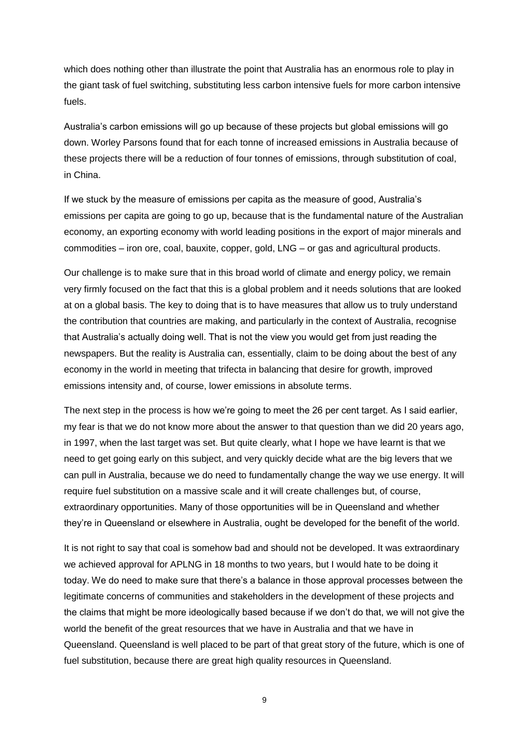which does nothing other than illustrate the point that Australia has an enormous role to play in the giant task of fuel switching, substituting less carbon intensive fuels for more carbon intensive fuels.

Australia's carbon emissions will go up because of these projects but global emissions will go down. Worley Parsons found that for each tonne of increased emissions in Australia because of these projects there will be a reduction of four tonnes of emissions, through substitution of coal, in China.

If we stuck by the measure of emissions per capita as the measure of good, Australia's emissions per capita are going to go up, because that is the fundamental nature of the Australian economy, an exporting economy with world leading positions in the export of major minerals and commodities – iron ore, coal, bauxite, copper, gold, LNG – or gas and agricultural products.

Our challenge is to make sure that in this broad world of climate and energy policy, we remain very firmly focused on the fact that this is a global problem and it needs solutions that are looked at on a global basis. The key to doing that is to have measures that allow us to truly understand the contribution that countries are making, and particularly in the context of Australia, recognise that Australia's actually doing well. That is not the view you would get from just reading the newspapers. But the reality is Australia can, essentially, claim to be doing about the best of any economy in the world in meeting that trifecta in balancing that desire for growth, improved emissions intensity and, of course, lower emissions in absolute terms.

The next step in the process is how we're going to meet the 26 per cent target. As I said earlier, my fear is that we do not know more about the answer to that question than we did 20 years ago, in 1997, when the last target was set. But quite clearly, what I hope we have learnt is that we need to get going early on this subject, and very quickly decide what are the big levers that we can pull in Australia, because we do need to fundamentally change the way we use energy. It will require fuel substitution on a massive scale and it will create challenges but, of course, extraordinary opportunities. Many of those opportunities will be in Queensland and whether they're in Queensland or elsewhere in Australia, ought be developed for the benefit of the world.

It is not right to say that coal is somehow bad and should not be developed. It was extraordinary we achieved approval for APLNG in 18 months to two years, but I would hate to be doing it today. We do need to make sure that there's a balance in those approval processes between the legitimate concerns of communities and stakeholders in the development of these projects and the claims that might be more ideologically based because if we don't do that, we will not give the world the benefit of the great resources that we have in Australia and that we have in Queensland. Queensland is well placed to be part of that great story of the future, which is one of fuel substitution, because there are great high quality resources in Queensland.